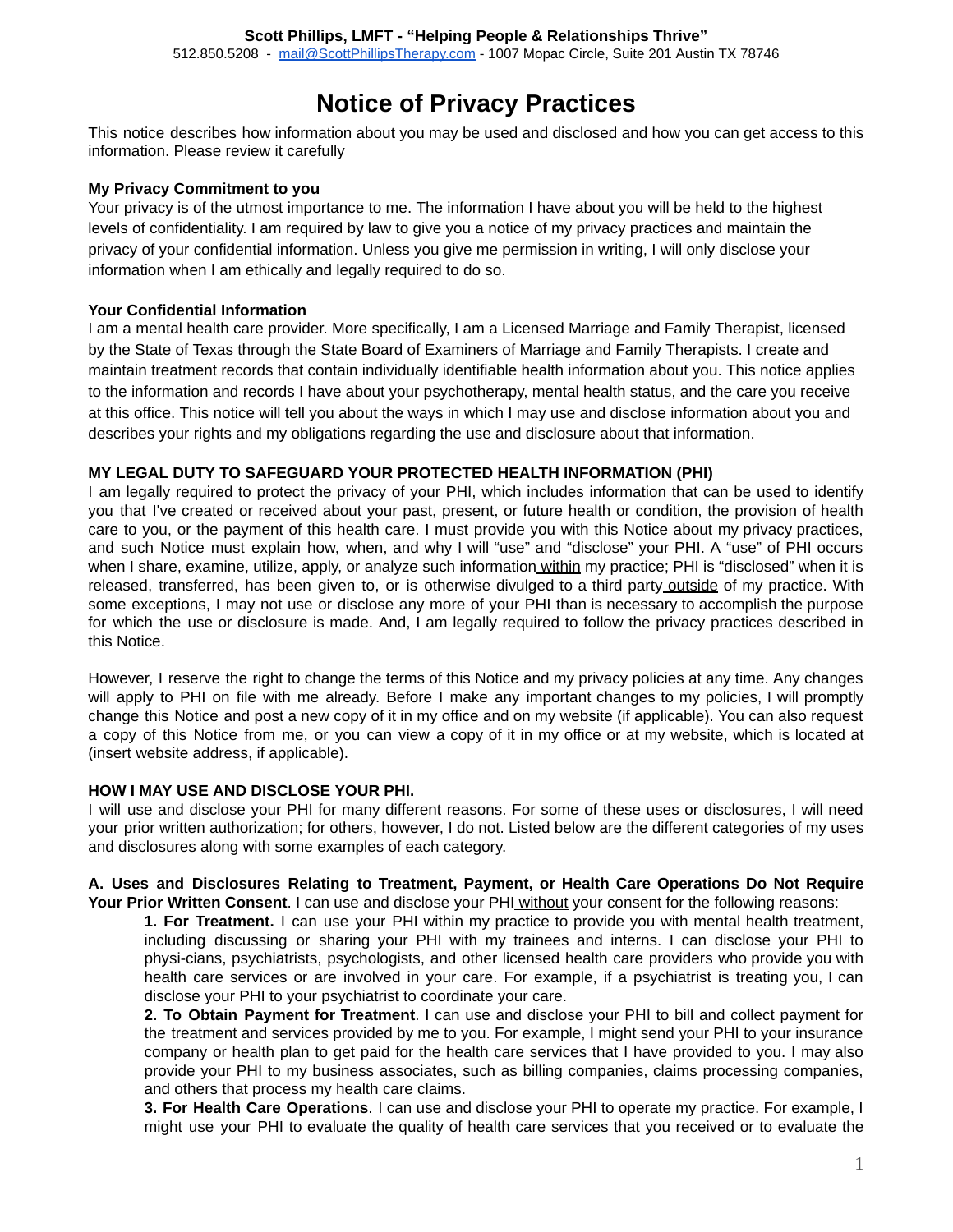# **Notice of Privacy Practices**

 This notice describes how information about you may be used and disclosed and how you can get access to this information. Please review it carefully

## **My Privacy Commitment to you**

 Your privacy is of the utmost importance to me. The information I have about you will be held to the highest levels of confidentiality. I am required by law to give you a notice of my privacy practices and maintain the privacy of your confidential information. Unless you give me permission in writing, I will only disclose your information when I am ethically and legally required to do so.

## **Your Confidential Information**

 I am a mental health care provider. More specifically, I am a Licensed Marriage and Family Therapist, licensed by the State of Texas through the State Board of Examiners of Marriage and Family Therapists. I create and maintain treatment records that contain individually identifiable health information about you. This notice applies to the information and records I have about your psychotherapy, mental health status, and the care you receive at this office. This notice will tell you about the ways in which I may use and disclose information about you and describes your rights and my obligations regarding the use and disclosure about that information.

## **MY LEGAL DUTY TO SAFEGUARD YOUR PROTECTED HEALTH lNFORMATION (PHI)**

 I am legally required to protect the privacy of your PHI, which includes information that can be used to identify you that I've created or received about your past, present, or future health or condition, the provision of health care to you, or the payment of this health care. I must provide you with this Notice about my privacy practices, and such Notice must explain how, when, and why I will "use" and "disclose" your PHI. A "use" of PHI occurs when I share, examine, utilize, apply, or analyze such information within my practice; PHI is "disclosed" when it is released, transferred, has been given to, or is otherwise divulged to a third party outside of my practice. With some exceptions, I may not use or disclose any more of your PHI than is necessary to accomplish the purpose for which the use or disclosure is made. And, I am legally required to follow the privacy practices described in this Notice.

 However, I reserve the right to change the terms of this Notice and my privacy policies at any time. Any changes will apply to PHI on file with me already. Before I make any important changes to my policies, I will promptly change this Notice and post a new copy of it in my office and on my website (if applicable). You can also request a copy of this Notice from me, or you can view a copy of it in my office or at my website, which is located at (insert website address, if applicable).

## **HOW I MAY USE AND DISCLOSE YOUR PHI.**

 I will use and disclose your PHI for many different reasons. For some of these uses or disclosures, I will need your prior written authorization; for others, however, I do not. Listed below are the different categories of my uses and disclosures along with some examples of each category.

#### **A. Uses and Disclosures Relating to Treatment, Payment, or Health Care Operations Do Not Require Your Prior Written Consent** . I can use and disclose your PHI without your consent for the following reasons:

 **1. For Treatment.** I can use your PHI within my practice to provide you with mental health treatment, including discussing or sharing your PHI with my trainees and interns. I can disclose your PHI to physi-cians, psychiatrists, psychologists, and other licensed health care providers who provide you with health care services or are involved in your care. For example, if a psychiatrist is treating you, I can disclose your PHI to your psychiatrist to coordinate your care.

 **2. To Obtain Payment for Treatment** . I can use and disclose your PHI to bill and collect payment for the treatment and services provided by me to you. For example, I might send your PHI to your insurance company or health plan to get paid for the health care services that I have provided to you. I may also provide your PHI to my business associates, such as billing companies, claims processing companies, and others that process my health care claims.

 **3. For Health Care Operations** . I can use and disclose your PHI to operate my practice. For example, I might use your PHI to evaluate the quality of health care services that you received or to evaluate the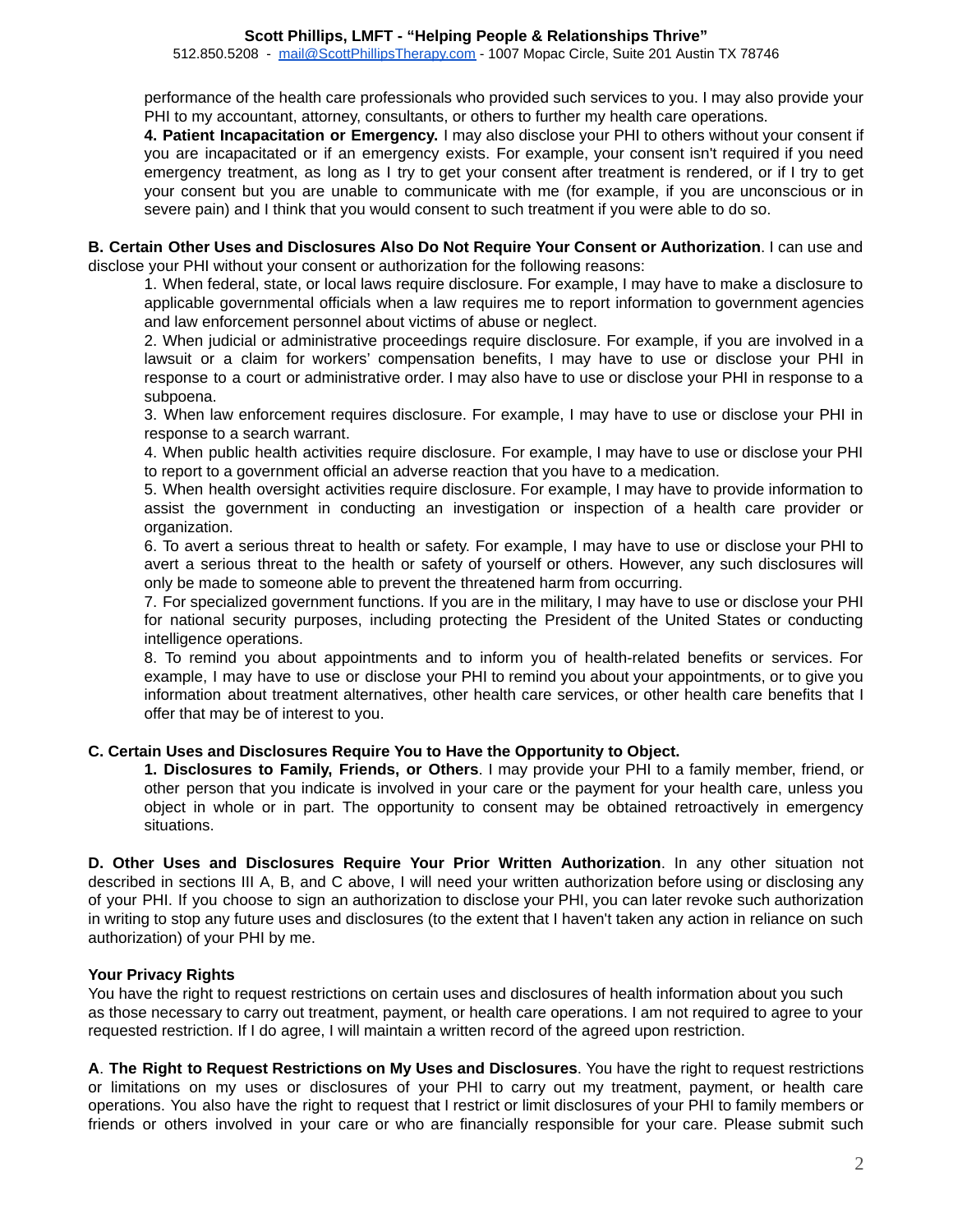#### **Scott Phillips, LMFT - "Helping People & Relationships Thrive"**

512.850.5208 - [mail@ScottPhillipsTherapy.com](mailto:mail@ScottPhillipsTherapy.com) - 1007 Mopac Circle, Suite 201 Austin TX 78746

 performance of the health care professionals who provided such services to you. I may also provide your PHI to my accountant, attorney, consultants, or others to further my health care operations.

 **4. Patient Incapacitation or Emergency.** I may also disclose your PHI to others without your consent if you are incapacitated or if an emergency exists. For example, your consent isn't required if you need emergency treatment, as long as I try to get your consent after treatment is rendered, or if I try to get your consent but you are unable to communicate with me (for example, if you are unconscious or in severe pain) and I think that you would consent to such treatment if you were able to do so.

 **B. Certain Other Uses and Disclosures Also Do Not Require Your Consent or Authorization** . I can use and disclose your PHI without your consent or authorization for the following reasons:

 1. When federal, state, or local laws require disclosure. For example, I may have to make a disclosure to applicable governmental officials when a law requires me to report information to government agencies and law enforcement personnel about victims of abuse or neglect.

 2. When judicial or administrative proceedings require disclosure. For example, if you are involved in a lawsuit or a claim for workers' compensation benefits, I may have to use or disclose your PHI in response to a court or administrative order. I may also have to use or disclose your PHI in response to a subpoena.

 3. When law enforcement requires disclosure. For example, I may have to use or disclose your PHI in response to a search warrant.

 4. When public health activities require disclosure. For example, I may have to use or disclose your PHI to report to a government official an adverse reaction that you have to a medication.

 5. When health oversight activities require disclosure. For example, I may have to provide information to assist the government in conducting an investigation or inspection of a health care provider or organization.

 6. To avert a serious threat to health or safety. For example, I may have to use or disclose your PHI to avert a serious threat to the health or safety of yourself or others. However, any such disclosures will only be made to someone able to prevent the threatened harm from occurring.

 7. For specialized government functions. If you are in the military, I may have to use or disclose your PHI for national security purposes, including protecting the President of the United States or conducting intelligence operations.

 8. To remind you about appointments and to inform you of health-related benefits or services. For example, I may have to use or disclose your PHI to remind you about your appointments, or to give you information about treatment alternatives, other health care services, or other health care benefits that I offer that may be of interest to you.

## **C. Certain Uses and Disclosures Require You to Have the Opportunity to Object.**

 **1. Disclosures to Family, Friends, or Others** . I may provide your PHI to a family member, friend, or other person that you indicate is involved in your care or the payment for your health care, unless you object in whole or in part. The opportunity to consent may be obtained retroactively in emergency situations.

 **D. Other Uses and Disclosures Require Your Prior Written Authorization** . In any other situation not described in sections III A, B, and C above, I will need your written authorization before using or disclosing any of your PHI. If you choose to sign an authorization to disclose your PHI, you can later revoke such authorization in writing to stop any future uses and disclosures (to the extent that I haven't taken any action in reliance on such authorization) of your PHI by me.

# **Your Privacy Rights**

 You have the right to request restrictions on certain uses and disclosures of health information about you such as those necessary to carry out treatment, payment, or health care operations. I am not required to agree to your requested restriction. If I do agree, I will maintain a written record of the agreed upon restriction.

 **A** . **The Right to Request Restrictions on My Uses and Disclosures** . You have the right to request restrictions or limitations on my uses or disclosures of your PHI to carry out my treatment, payment, or health care operations. You also have the right to request that I restrict or limit disclosures of your PHI to family members or friends or others involved in your care or who are financially responsible for your care. Please submit such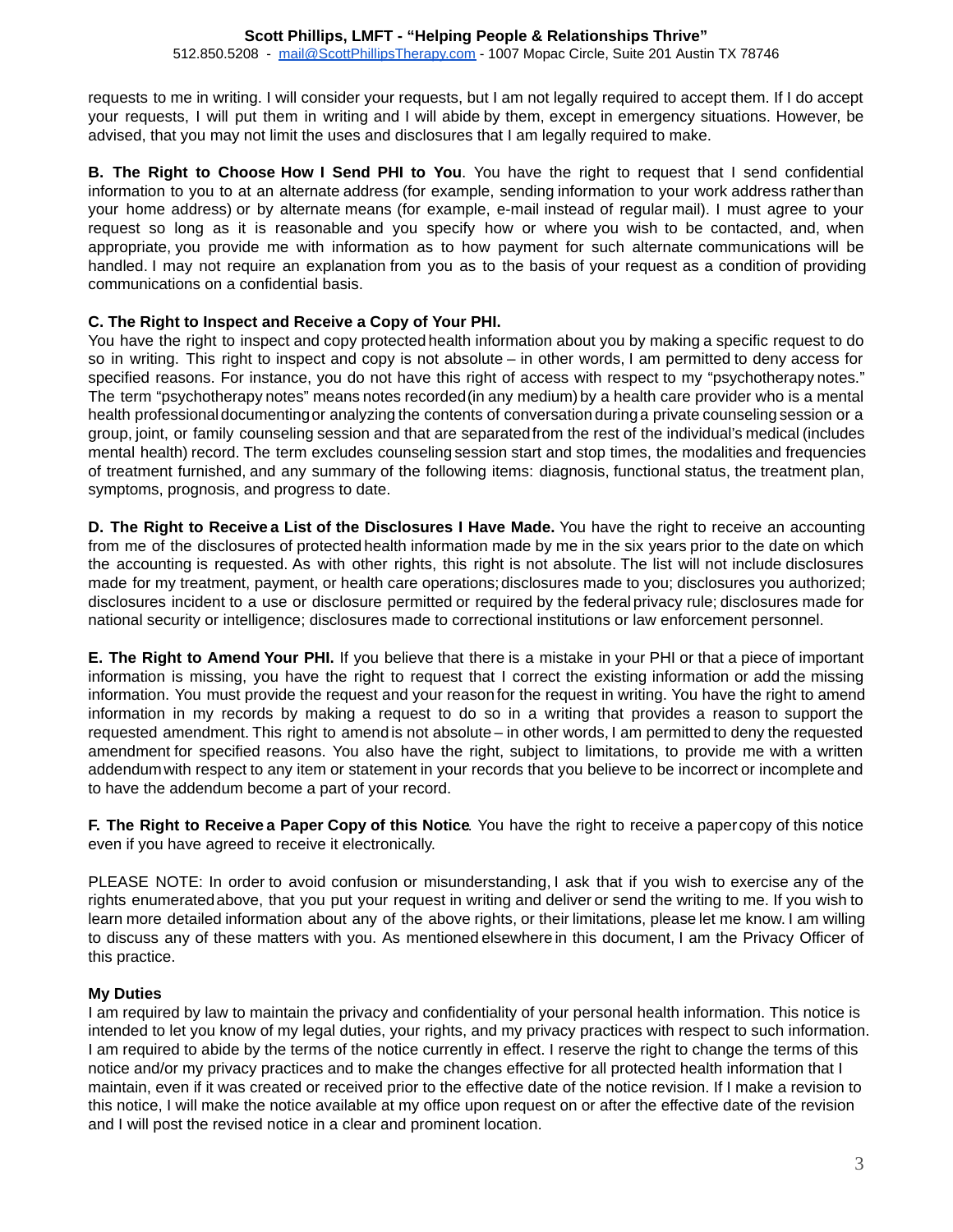#### **Scott Phillips, LMFT - "Helping People & Relationships Thrive"**  512.850.5208 - [mail@ScottPhillipsTherapy.com](mailto:mail@ScottPhillipsTherapy.com) - 1007 Mopac Circle, Suite 201 Austin TX 78746

 requests to me in writing. I will consider your requests, but I am not legally required to accept them. If I do accept your requests, I will put them in writing and I will abide by them, except in emergency situations. However, be advised, that you may not limit the uses and disclosures that I am legally required to make.

 **B. The Right to Choose How I Send PHI to You** . You have the right to request that I send confidential information to you to at an alternate address (for example, sending information to your work address rather than your home address) or by alternate means (for example, e-mail instead of regular mail). I must agree to your request so long as it is reasonable and you specify how or where you wish to be contacted, and, when appropriate, you provide me with information as to how payment for such alternate communications will be handled. I may not require an explanation from you as to the basis of your request as a condition of providing communications on a confidential basis.

# **C. The Right to Inspect and Receive a Copy of Your PHI.**

 You have the right to inspect and copy protected health information about you by making a specific request to do so in writing. This right to inspect and copy is not absolute – in other words, I am permitted to deny access for specified reasons. For instance, you do not have this right of access with respect to my "psychotherapy notes." The term "psychotherapy notes" means notes recorded (in any medium) by a health care provider who is a mental health professional documenting or analyzing the contents of conversation during a private counseling session or a group, joint, or family counseling session and that are separated from the rest of the individual's medical (includes mental health) record. The term excludes counseling session start and stop times, the modalities and frequencies of treatment furnished, and any summary of the following items: diagnosis, functional status, the treatment plan, symptoms, prognosis, and progress to date.

 **D. The Right to Receive a List of the Disclosures I Have Made.** You have the right to receive an accounting from me of the disclosures of protected health information made by me in the six years prior to the date on which the accounting is requested. As with other rights, this right is not absolute. The list will not include disclosures made for my treatment, payment, or health care operations; disclosures made to you; disclosures you authorized; disclosures incident to a use or disclosure permitted or required by the federal privacy rule; disclosures made for national security or intelligence; disclosures made to correctional institutions or law enforcement personnel.

 **E. The Right to Amend Your PHI.** If you believe that there is a mistake in your PHI or that a piece of important information is missing, you have the right to request that I correct the existing information or add the missing information. You must provide the request and your reason for the request in writing. You have the right to amend information in my records by making a request to do so in a writing that provides a reason to support the requested amendment. This right to amend is not absolute – in other words, I am permitted to deny the requested amendment for specified reasons. You also have the right, subject to limitations, to provide me with a written addendum with respect to any item or statement in your records that you believe to be incorrect or incomplete and to have the addendum become a part of your record.

**F. The Right to Receive a Paper Copy of this Notice**. You have the right to receive a paper copy of this notice even if you have agreed to receive it electronically.

PLEASE NOTE: In order to avoid confusion or misunderstanding, I ask that if you wish to exercise any of the rights enumerated above, that you put your request in writing and deliver or send the writing to me. If you wish to learn more detailed information about any of the above rights, or their limitations, please let me know. I am willing to discuss any of these matters with you. As mentioned elsewhere in this document, I am the Privacy Officer of this practice.

## **My Duties**

 I am required by law to maintain the privacy and confidentiality of your personal health information. This notice is intended to let you know of my legal duties, your rights, and my privacy practices with respect to such information. I am required to abide by the terms of the notice currently in effect. I reserve the right to change the terms of this notice and/or my privacy practices and to make the changes effective for all protected health information that I maintain, even if it was created or received prior to the effective date of the notice revision. If I make a revision to this notice, I will make the notice available at my office upon request on or after the effective date of the revision and I will post the revised notice in a clear and prominent location.